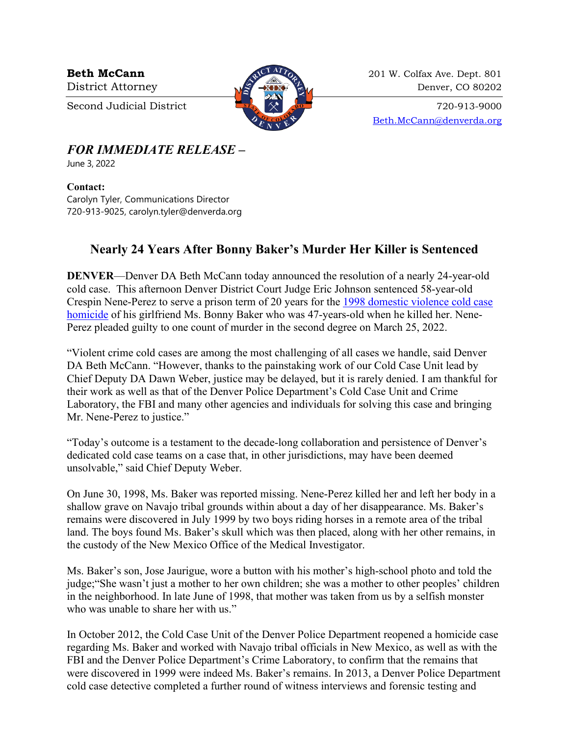

**Beth McCann** 201 W. Colfax Ave. Dept. 801 District Attorney 22 and 220 Denver, CO 80202

Second Judicial District  $\begin{array}{c} \boxed{37} \\ \times \end{array}$   $\begin{array}{c} \times \\ \times \end{array}$  720-913-9000 [Beth.McCann@denverda.org](mailto:Beth.McCann@denverda.org)

*FOR IMMEDIATE RELEASE* **–**

June 3, 2022

## **Contact:**

Carolyn Tyler, Communications Director 720-913-9025, carolyn.tyler@denverda.org

## **Nearly 24 Years After Bonny Baker's Murder Her Killer is Sentenced**

**DENVER—Denver DA Beth McCann today announced the resolution of a nearly 24-year-old** cold case. This afternoon Denver District Court Judge Eric Johnson sentenced 58-year-old Crespin Nene-Perez to serve a prison term of 20 years for the [1998 domestic violence cold case](https://www.denverda.org/news-release/denver-da-pursues-murder-charges-in-1998-cold-case-homicide/)  [homicide](https://www.denverda.org/news-release/denver-da-pursues-murder-charges-in-1998-cold-case-homicide/) of his girlfriend Ms. Bonny Baker who was 47-years-old when he killed her. Nene-Perez pleaded guilty to one count of murder in the second degree on March 25, 2022.

"Violent crime cold cases are among the most challenging of all cases we handle, said Denver DA Beth McCann. "However, thanks to the painstaking work of our Cold Case Unit lead by Chief Deputy DA Dawn Weber, justice may be delayed, but it is rarely denied. I am thankful for their work as well as that of the Denver Police Department's Cold Case Unit and Crime Laboratory, the FBI and many other agencies and individuals for solving this case and bringing Mr. Nene-Perez to justice."

"Today's outcome is a testament to the decade-long collaboration and persistence of Denver's dedicated cold case teams on a case that, in other jurisdictions, may have been deemed unsolvable," said Chief Deputy Weber.

On June 30, 1998, Ms. Baker was reported missing. Nene-Perez killed her and left her body in a shallow grave on Navajo tribal grounds within about a day of her disappearance. Ms. Baker's remains were discovered in July 1999 by two boys riding horses in a remote area of the tribal land. The boys found Ms. Baker's skull which was then placed, along with her other remains, in the custody of the New Mexico Office of the Medical Investigator.

Ms. Baker's son, Jose Jaurigue, wore a button with his mother's high-school photo and told the judge;"She wasn't just a mother to her own children; she was a mother to other peoples' children in the neighborhood. In late June of 1998, that mother was taken from us by a selfish monster who was unable to share her with us."

In October 2012, the Cold Case Unit of the Denver Police Department reopened a homicide case regarding Ms. Baker and worked with Navajo tribal officials in New Mexico, as well as with the FBI and the Denver Police Department's Crime Laboratory, to confirm that the remains that were discovered in 1999 were indeed Ms. Baker's remains. In 2013, a Denver Police Department cold case detective completed a further round of witness interviews and forensic testing and